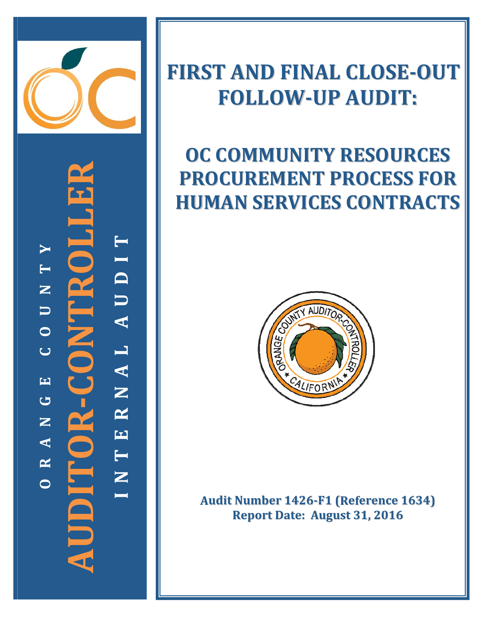

**‐CONTROLLER TYIT D N**  $\overline{\phantom{0}}$ **U U A**  $\mathbf{Z}$ **O CL A E** $\frac{1}{2}$ **N G R AUDITOR NE A T R N OI**

## **FIRST AND FINAL CLOSE‐OUT FOLLOW‐UP AUDIT:**

# **OC COMMUNITY RESOURCES PROCUREMENT PROCESS FOR HUMAN SERVICES CONTRACTS**



**Audit Number 1426‐F1 (Reference 1634) Report Date: August 31, 2016**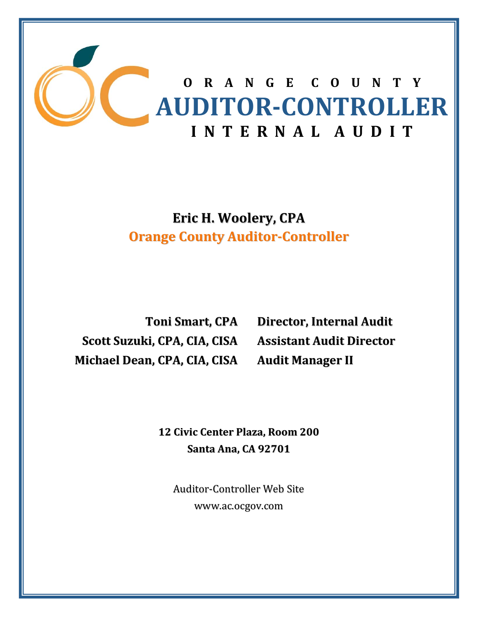

**Eric H. Woolery, CPA Orange County Auditor‐Controller**

**Toni Smart, CPA Scott Suzuki, CPA, CIA, CISA Michael Dean, CPA, CIA, CISA**

**Director, Internal Audit Assistant Audit Director Audit Manager II**

**12 Civic Center Plaza, Room 200 Santa Ana, CA 92701**

Auditor‐Controller Web Site www.ac.ocgov.com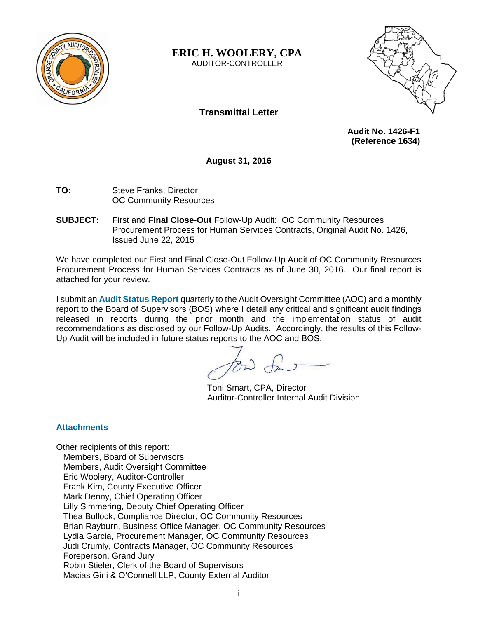

**ERIC H. WOOLERY, CPA** 

AUDITOR-CONTROLLER



## **Transmittal Letter**

 **Audit No. 1426-F1 (Reference 1634)** 

**August 31, 2016** 

- **TO:** Steve Franks, Director OC Community Resources
- **SUBJECT:** First and **Final Close-Out** Follow-Up Audit: OC Community Resources Procurement Process for Human Services Contracts, Original Audit No. 1426, Issued June 22, 2015

We have completed our First and Final Close-Out Follow-Up Audit of OC Community Resources Procurement Process for Human Services Contracts as of June 30, 2016. Our final report is attached for your review.

I submit an **Audit Status Report** quarterly to the Audit Oversight Committee (AOC) and a monthly report to the Board of Supervisors (BOS) where I detail any critical and significant audit findings released in reports during the prior month and the implementation status of audit recommendations as disclosed by our Follow-Up Audits. Accordingly, the results of this Follow-Up Audit will be included in future status reports to the AOC and BOS.

Toni Smart, CPA, Director Auditor-Controller Internal Audit Division

#### **Attachments**

Other recipients of this report: Members, Board of Supervisors Members, Audit Oversight Committee Eric Woolery, Auditor-Controller Frank Kim, County Executive Officer Mark Denny, Chief Operating Officer Lilly Simmering, Deputy Chief Operating Officer Thea Bullock, Compliance Director, OC Community Resources Brian Rayburn, Business Office Manager, OC Community Resources Lydia Garcia, Procurement Manager, OC Community Resources Judi Crumly, Contracts Manager, OC Community Resources Foreperson, Grand Jury Robin Stieler, Clerk of the Board of Supervisors Macias Gini & O'Connell LLP, County External Auditor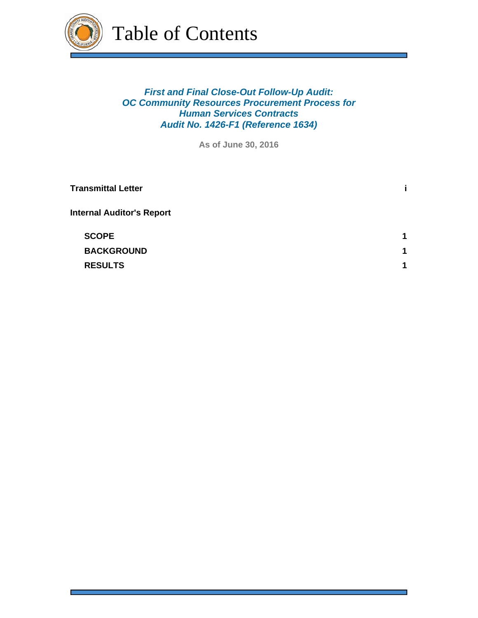

Table of Contents

## *First and Final Close-Out Follow-Up Audit: OC Community Resources Procurement Process for Human Services Contracts Audit No. 1426-F1 (Reference 1634)*

**As of June 30, 2016**

| <b>Transmittal Letter</b>        |   |
|----------------------------------|---|
| <b>Internal Auditor's Report</b> |   |
| <b>SCOPE</b>                     | 1 |
| <b>BACKGROUND</b>                | 1 |
| <b>RESULTS</b>                   | 4 |
|                                  |   |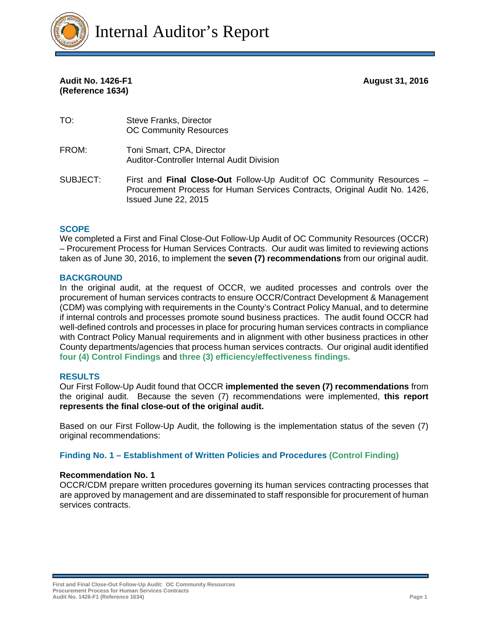

**Audit No. 1426-F1 August 31, 2016 (Reference 1634)** 

TO: Steve Franks, Director OC Community Resources FROM: Toni Smart, CPA, Director Auditor-Controller Internal Audit Division

#### SUBJECT: First and **Final Close-Out** Follow-Up Audit:of OC Community Resources – Procurement Process for Human Services Contracts, Original Audit No. 1426, Issued June 22, 2015

#### **SCOPE**

We completed a First and Final Close-Out Follow-Up Audit of OC Community Resources (OCCR) – Procurement Process for Human Services Contracts. Our audit was limited to reviewing actions taken as of June 30, 2016, to implement the **seven (7) recommendations** from our original audit.

#### **BACKGROUND**

In the original audit, at the request of OCCR, we audited processes and controls over the procurement of human services contracts to ensure OCCR/Contract Development & Management (CDM) was complying with requirements in the County's Contract Policy Manual, and to determine if internal controls and processes promote sound business practices. The audit found OCCR had well-defined controls and processes in place for procuring human services contracts in compliance with Contract Policy Manual requirements and in alignment with other business practices in other County departments/agencies that process human services contracts. Our original audit identified **four (4) Control Findings** and **three (3) efficiency/effectiveness findings.** 

#### **RESULTS**

Our First Follow-Up Audit found that OCCR **implemented the seven (7) recommendations** from the original audit. Because the seven (7) recommendations were implemented, **this report represents the final close-out of the original audit.**

Based on our First Follow-Up Audit, the following is the implementation status of the seven (7) original recommendations:

**Finding No. 1 – Establishment of Written Policies and Procedures (Control Finding)**

#### **Recommendation No. 1**

OCCR/CDM prepare written procedures governing its human services contracting processes that are approved by management and are disseminated to staff responsible for procurement of human services contracts.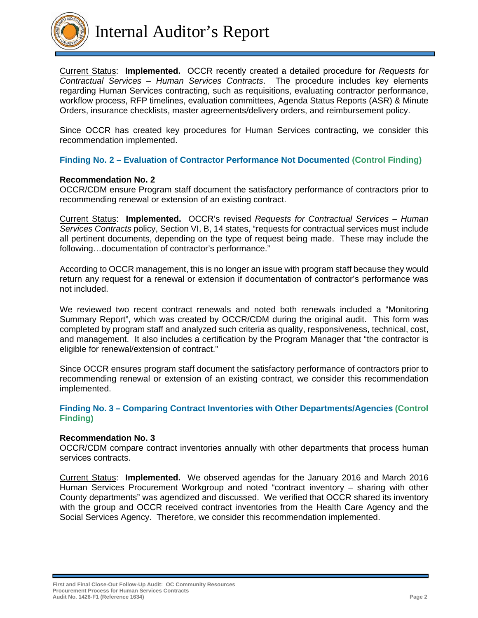

Current Status: **Implemented.** OCCR recently created a detailed procedure for *Requests for Contractual Services – Human Services Contracts*. The procedure includes key elements regarding Human Services contracting, such as requisitions, evaluating contractor performance, workflow process, RFP timelines, evaluation committees, Agenda Status Reports (ASR) & Minute Orders, insurance checklists, master agreements/delivery orders, and reimbursement policy.

Since OCCR has created key procedures for Human Services contracting, we consider this recommendation implemented.

#### **Finding No. 2 – Evaluation of Contractor Performance Not Documented (Control Finding)**

#### **Recommendation No. 2**

OCCR/CDM ensure Program staff document the satisfactory performance of contractors prior to recommending renewal or extension of an existing contract.

Current Status: **Implemented.** OCCR's revised *Requests for Contractual Services – Human Services Contracts* policy, Section VI, B, 14 states, "requests for contractual services must include all pertinent documents, depending on the type of request being made. These may include the following…documentation of contractor's performance."

According to OCCR management, this is no longer an issue with program staff because they would return any request for a renewal or extension if documentation of contractor's performance was not included.

We reviewed two recent contract renewals and noted both renewals included a "Monitoring Summary Report", which was created by OCCR/CDM during the original audit. This form was completed by program staff and analyzed such criteria as quality, responsiveness, technical, cost, and management. It also includes a certification by the Program Manager that "the contractor is eligible for renewal/extension of contract."

Since OCCR ensures program staff document the satisfactory performance of contractors prior to recommending renewal or extension of an existing contract, we consider this recommendation implemented.

#### **Finding No. 3 – Comparing Contract Inventories with Other Departments/Agencies (Control Finding)**

#### **Recommendation No. 3**

OCCR/CDM compare contract inventories annually with other departments that process human services contracts.

Current Status: **Implemented.** We observed agendas for the January 2016 and March 2016 Human Services Procurement Workgroup and noted "contract inventory – sharing with other County departments" was agendized and discussed. We verified that OCCR shared its inventory with the group and OCCR received contract inventories from the Health Care Agency and the Social Services Agency. Therefore, we consider this recommendation implemented.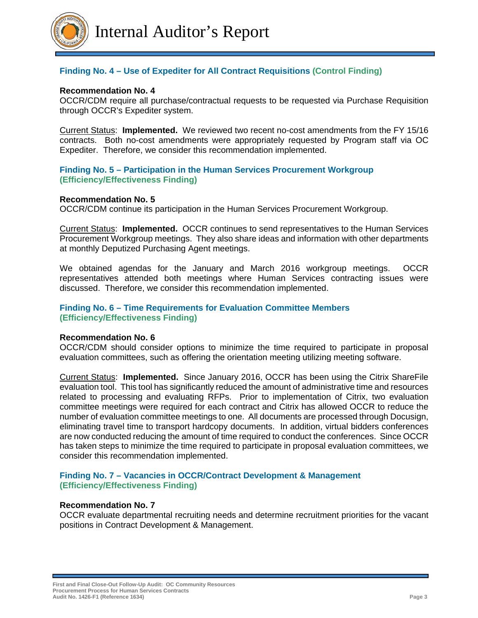

### **Finding No. 4 – Use of Expediter for All Contract Requisitions (Control Finding)**

#### **Recommendation No. 4**

OCCR/CDM require all purchase/contractual requests to be requested via Purchase Requisition through OCCR's Expediter system.

Current Status: **Implemented.** We reviewed two recent no-cost amendments from the FY 15/16 contracts. Both no-cost amendments were appropriately requested by Program staff via OC Expediter. Therefore, we consider this recommendation implemented.

#### **Finding No. 5 – Participation in the Human Services Procurement Workgroup (Efficiency/Effectiveness Finding)**

#### **Recommendation No. 5**

OCCR/CDM continue its participation in the Human Services Procurement Workgroup.

Current Status: **Implemented.** OCCR continues to send representatives to the Human Services Procurement Workgroup meetings. They also share ideas and information with other departments at monthly Deputized Purchasing Agent meetings.

We obtained agendas for the January and March 2016 workgroup meetings. OCCR representatives attended both meetings where Human Services contracting issues were discussed. Therefore, we consider this recommendation implemented.

#### **Finding No. 6 – Time Requirements for Evaluation Committee Members (Efficiency/Effectiveness Finding)**

#### **Recommendation No. 6**

OCCR/CDM should consider options to minimize the time required to participate in proposal evaluation committees, such as offering the orientation meeting utilizing meeting software.

Current Status: **Implemented.** Since January 2016, OCCR has been using the Citrix ShareFile evaluation tool. This tool has significantly reduced the amount of administrative time and resources related to processing and evaluating RFPs. Prior to implementation of Citrix, two evaluation committee meetings were required for each contract and Citrix has allowed OCCR to reduce the number of evaluation committee meetings to one. All documents are processed through Docusign, eliminating travel time to transport hardcopy documents. In addition, virtual bidders conferences are now conducted reducing the amount of time required to conduct the conferences. Since OCCR has taken steps to minimize the time required to participate in proposal evaluation committees, we consider this recommendation implemented.

#### **Finding No. 7 – Vacancies in OCCR/Contract Development & Management (Efficiency/Effectiveness Finding)**

#### **Recommendation No. 7**

OCCR evaluate departmental recruiting needs and determine recruitment priorities for the vacant positions in Contract Development & Management.